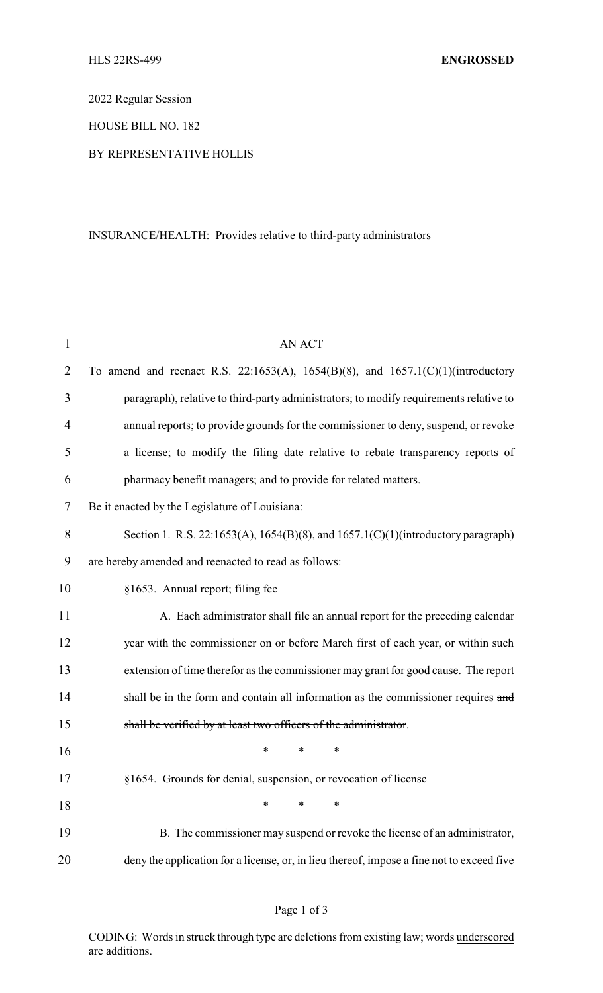2022 Regular Session

HOUSE BILL NO. 182

## BY REPRESENTATIVE HOLLIS

## INSURANCE/HEALTH: Provides relative to third-party administrators

| $\mathbf{1}$   | <b>AN ACT</b>                                                                             |  |  |
|----------------|-------------------------------------------------------------------------------------------|--|--|
| $\overline{2}$ | To amend and reenact R.S. 22:1653(A), 1654(B)(8), and 1657.1(C)(1)(introductory           |  |  |
| 3              | paragraph), relative to third-party administrators; to modify requirements relative to    |  |  |
| $\overline{4}$ | annual reports; to provide grounds for the commissioner to deny, suspend, or revoke       |  |  |
| 5              | a license; to modify the filing date relative to rebate transparency reports of           |  |  |
| 6              | pharmacy benefit managers; and to provide for related matters.                            |  |  |
| 7              | Be it enacted by the Legislature of Louisiana:                                            |  |  |
| 8              | Section 1. R.S. 22:1653(A), 1654(B)(8), and 1657.1(C)(1)(introductory paragraph)          |  |  |
| 9              | are hereby amended and reenacted to read as follows:                                      |  |  |
| 10             | §1653. Annual report; filing fee                                                          |  |  |
| 11             | A. Each administrator shall file an annual report for the preceding calendar              |  |  |
| 12             | year with the commissioner on or before March first of each year, or within such          |  |  |
| 13             | extension of time therefor as the commissioner may grant for good cause. The report       |  |  |
| 14             | shall be in the form and contain all information as the commissioner requires and         |  |  |
| 15             | shall be verified by at least two officers of the administrator.                          |  |  |
| 16             | *<br>∗<br>∗                                                                               |  |  |
| 17             | §1654. Grounds for denial, suspension, or revocation of license                           |  |  |
| 18             | *<br>*<br>∗                                                                               |  |  |
| 19             | B. The commissioner may suspend or revoke the license of an administrator,                |  |  |
| 20             | deny the application for a license, or, in lieu thereof, impose a fine not to exceed five |  |  |

## Page 1 of 3

CODING: Words in struck through type are deletions from existing law; words underscored are additions.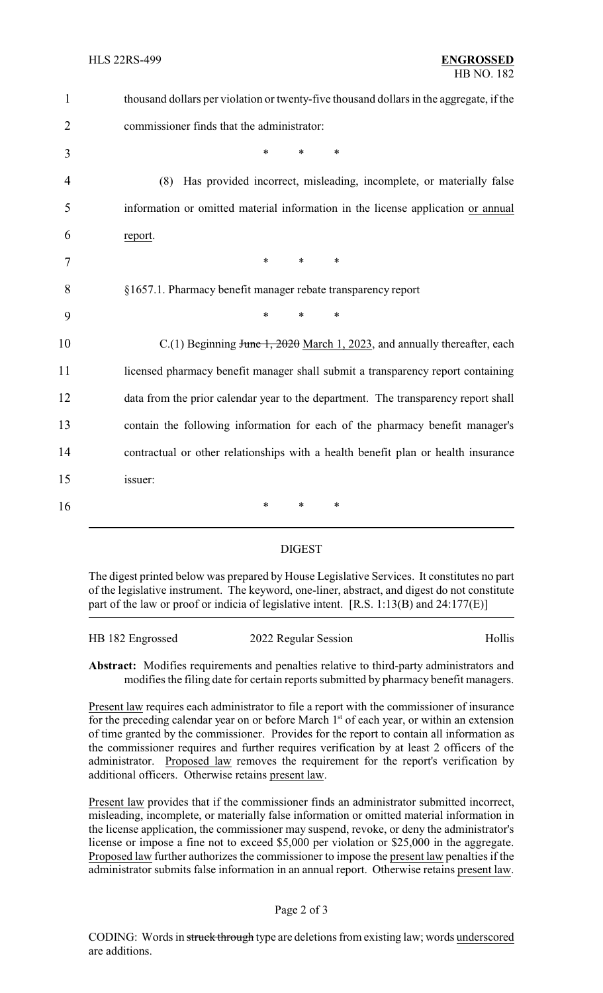| $\mathbf{1}$ | thousand dollars per violation or twenty-five thousand dollars in the aggregate, if the |
|--------------|-----------------------------------------------------------------------------------------|
| 2            | commissioner finds that the administrator:                                              |
| 3            | $\ast$<br>*<br>$\ast$                                                                   |
| 4            | Has provided incorrect, misleading, incomplete, or materially false<br>(8)              |
| 5            | information or omitted material information in the license application or annual        |
| 6            | report.                                                                                 |
| 7            | $*$<br>$\ast$<br>$\ast$                                                                 |
| 8            | §1657.1. Pharmacy benefit manager rebate transparency report                            |
| 9            | $\ast$<br>$\ast$<br>∗                                                                   |
| 10           | $C(1)$ Beginning June 1, 2020 March 1, 2023, and annually thereafter, each              |
| 11           | licensed pharmacy benefit manager shall submit a transparency report containing         |
| 12           | data from the prior calendar year to the department. The transparency report shall      |
| 13           | contain the following information for each of the pharmacy benefit manager's            |
| 14           | contractual or other relationships with a health benefit plan or health insurance       |
| 15           | issuer:                                                                                 |
| 16           | *<br>*<br>∗                                                                             |
|              |                                                                                         |

## DIGEST

The digest printed below was prepared by House Legislative Services. It constitutes no part of the legislative instrument. The keyword, one-liner, abstract, and digest do not constitute part of the law or proof or indicia of legislative intent. [R.S. 1:13(B) and 24:177(E)]

| HB 182 Engrossed | 2022 Regular Session | Hollis |
|------------------|----------------------|--------|
|                  |                      |        |

**Abstract:** Modifies requirements and penalties relative to third-party administrators and modifies the filing date for certain reports submitted by pharmacy benefit managers.

Present law requires each administrator to file a report with the commissioner of insurance for the preceding calendar year on or before March 1<sup>st</sup> of each year, or within an extension of time granted by the commissioner. Provides for the report to contain all information as the commissioner requires and further requires verification by at least 2 officers of the administrator. Proposed law removes the requirement for the report's verification by additional officers. Otherwise retains present law.

Present law provides that if the commissioner finds an administrator submitted incorrect, misleading, incomplete, or materially false information or omitted material information in the license application, the commissioner may suspend, revoke, or deny the administrator's license or impose a fine not to exceed \$5,000 per violation or \$25,000 in the aggregate. Proposed law further authorizes the commissioner to impose the present law penalties if the administrator submits false information in an annual report. Otherwise retains present law.